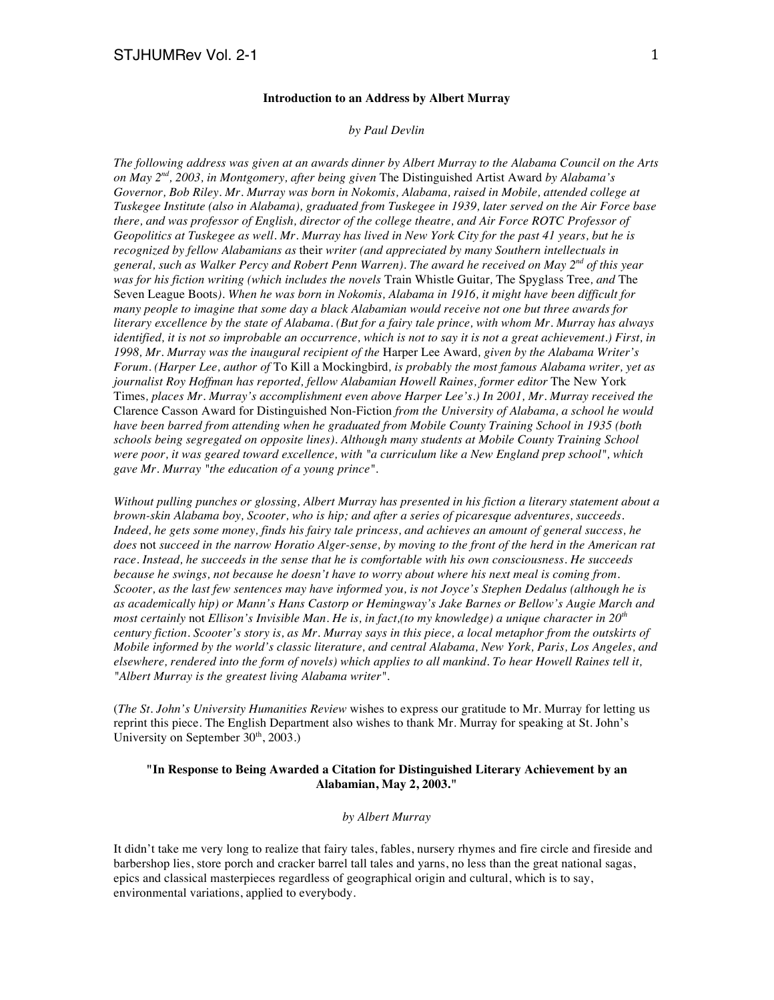### **Introduction to an Address by Albert Murray**

#### *by Paul Devlin*

*The following address was given at an awards dinner by Albert Murray to the Alabama Council on the Arts on May 2nd, 2003, in Montgomery, after being given* The Distinguished Artist Award *by Alabama's Governor, Bob Riley. Mr. Murray was born in Nokomis, Alabama, raised in Mobile, attended college at Tuskegee Institute (also in Alabama), graduated from Tuskegee in 1939, later served on the Air Force base there, and was professor of English, director of the college theatre, and Air Force ROTC Professor of Geopolitics at Tuskegee as well. Mr. Murray has lived in New York City for the past 41 years, but he is recognized by fellow Alabamians as* their *writer (and appreciated by many Southern intellectuals in general, such as Walker Percy and Robert Penn Warren). The award he received on May 2nd of this year was for his fiction writing (which includes the novels* Train Whistle Guitar*,* The Spyglass Tree*, and* The Seven League Boots*). When he was born in Nokomis, Alabama in 1916, it might have been difficult for many people to imagine that some day a black Alabamian would receive not one but three awards for literary excellence by the state of Alabama. (But for a fairy tale prince, with whom Mr. Murray has always identified, it is not so improbable an occurrence, which is not to say it is not a great achievement.) First, in 1998, Mr. Murray was the inaugural recipient of the* Harper Lee Award*, given by the Alabama Writer's Forum. (Harper Lee, author of* To Kill a Mockingbird*, is probably the most famous Alabama writer, yet as*  journalist Roy Hoffman has reported, fellow Alabamian Howell Raines, former editor The New York Times*, places Mr. Murray's accomplishment even above Harper Lee's.) In 2001, Mr. Murray received the*  Clarence Casson Award for Distinguished Non-Fiction *from the University of Alabama, a school he would have been barred from attending when he graduated from Mobile County Training School in 1935 (both schools being segregated on opposite lines). Although many students at Mobile County Training School were poor, it was geared toward excellence, with "a curriculum like a New England prep school", which gave Mr. Murray "the education of a young prince".* 

*Without pulling punches or glossing, Albert Murray has presented in his fiction a literary statement about a brown-skin Alabama boy, Scooter, who is hip; and after a series of picaresque adventures, succeeds. Indeed, he gets some money, finds his fairy tale princess, and achieves an amount of general success, he does* not *succeed in the narrow Horatio Alger-sense, by moving to the front of the herd in the American rat race. Instead, he succeeds in the sense that he is comfortable with his own consciousness. He succeeds because he swings, not because he doesn't have to worry about where his next meal is coming from. Scooter, as the last few sentences may have informed you, is not Joyce's Stephen Dedalus (although he is as academically hip) or Mann's Hans Castorp or Hemingway's Jake Barnes or Bellow's Augie March and most certainly* not *Ellison's Invisible Man. He is, in fact,(to my knowledge) a unique character in 20th century fiction. Scooter's story is, as Mr. Murray says in this piece, a local metaphor from the outskirts of Mobile informed by the world's classic literature, and central Alabama, New York, Paris, Los Angeles, and elsewhere, rendered into the form of novels) which applies to all mankind. To hear Howell Raines tell it, "Albert Murray is the greatest living Alabama writer".*

(*The St. John's University Humanities Review* wishes to express our gratitude to Mr. Murray for letting us reprint this piece. The English Department also wishes to thank Mr. Murray for speaking at St. John's University on September  $30<sup>th</sup>$ , 2003.)

## **"In Response to Being Awarded a Citation for Distinguished Literary Achievement by an Alabamian, May 2, 2003."**

### *by Albert Murray*

It didn't take me very long to realize that fairy tales, fables, nursery rhymes and fire circle and fireside and barbershop lies, store porch and cracker barrel tall tales and yarns, no less than the great national sagas, epics and classical masterpieces regardless of geographical origin and cultural, which is to say, environmental variations, applied to everybody.